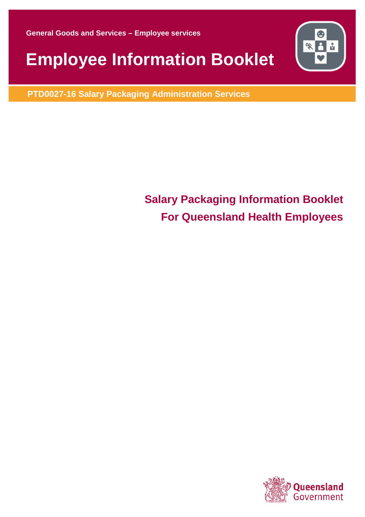**General Goods and Services – Employee services** 

# **Employee Information Booklet**

**PTD0027-16 Salary Packaging Administration Services**

# **Salary Packaging Information Booklet For Queensland Health Employees**



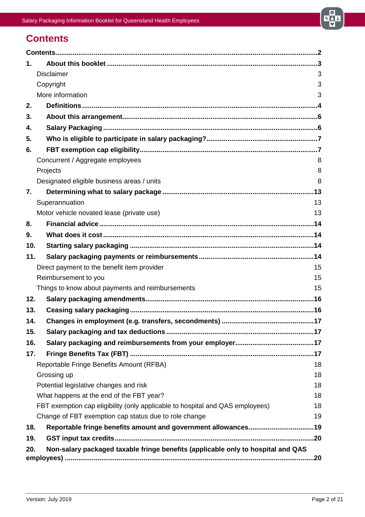

# <span id="page-1-0"></span>**Contents**

| $\mathbf 1$ . |                                                                                     |  |
|---------------|-------------------------------------------------------------------------------------|--|
|               | <b>Disclaimer</b><br>3                                                              |  |
|               | Copyright<br>3                                                                      |  |
|               | More information<br>3                                                               |  |
| 2.            |                                                                                     |  |
| 3.            |                                                                                     |  |
| 4.            |                                                                                     |  |
| 5.            |                                                                                     |  |
| 6.            |                                                                                     |  |
|               | Concurrent / Aggregate employees<br>8                                               |  |
|               | Projects<br>8                                                                       |  |
|               | Designated eligible business areas / units<br>8                                     |  |
| 7.            |                                                                                     |  |
|               | Superannuation<br>13                                                                |  |
|               | Motor vehicle novated lease (private use)<br>13                                     |  |
| 8.            |                                                                                     |  |
| 9.            |                                                                                     |  |
| 10.           |                                                                                     |  |
| 11.           |                                                                                     |  |
|               | Direct payment to the benefit item provider<br>15                                   |  |
|               | Reimbursement to you<br>15                                                          |  |
|               | Things to know about payments and reimbursements<br>15                              |  |
| 12.           |                                                                                     |  |
| 13.           |                                                                                     |  |
| 14.           |                                                                                     |  |
| 15.           |                                                                                     |  |
| 16.           |                                                                                     |  |
| 17.           |                                                                                     |  |
|               | Reportable Fringe Benefits Amount (RFBA)<br>18                                      |  |
|               | Grossing up<br>18                                                                   |  |
|               | Potential legislative changes and risk<br>18                                        |  |
|               | What happens at the end of the FBT year?<br>18                                      |  |
|               | FBT exemption cap eligibility (only applicable to hospital and QAS employees)<br>18 |  |
|               | Change of FBT exemption cap status due to role change<br>19                         |  |
| 18.           | Reportable fringe benefits amount and government allowances19                       |  |
| 19.           |                                                                                     |  |
| 20.           | Non-salary packaged taxable fringe benefits (applicable only to hospital and QAS    |  |
|               |                                                                                     |  |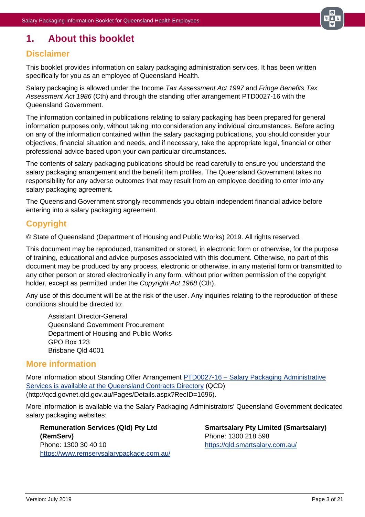

# <span id="page-2-0"></span>**1. About this booklet**

### <span id="page-2-1"></span>**Disclaimer**

This booklet provides information on salary packaging administration services. It has been written specifically for you as an employee of Queensland Health.

Salary packaging is allowed under the Income *Tax Assessment Act 1997* and *Fringe Benefits Tax Assessment Act 1986* (Cth) and through the standing offer arrangement PTD0027-16 with the Queensland Government.

The information contained in publications relating to salary packaging has been prepared for general information purposes only, without taking into consideration any individual circumstances. Before acting on any of the information contained within the salary packaging publications, you should consider your objectives, financial situation and needs, and if necessary, take the appropriate legal, financial or other professional advice based upon your own particular circumstances.

The contents of salary packaging publications should be read carefully to ensure you understand the salary packaging arrangement and the benefit item profiles. The Queensland Government takes no responsibility for any adverse outcomes that may result from an employee deciding to enter into any salary packaging agreement.

The Queensland Government strongly recommends you obtain independent financial advice before entering into a salary packaging agreement.

### <span id="page-2-2"></span>**Copyright**

© State of Queensland (Department of Housing and Public Works) 2019. All rights reserved.

This document may be reproduced, transmitted or stored, in electronic form or otherwise, for the purpose of training, educational and advice purposes associated with this document. Otherwise, no part of this document may be produced by any process, electronic or otherwise, in any material form or transmitted to any other person or stored electronically in any form, without prior written permission of the copyright holder, except as permitted under the *Copyright Act 1968* (Cth).

Any use of this document will be at the risk of the user. Any inquiries relating to the reproduction of these conditions should be directed to:

Assistant Director-General Queensland Government Procurement Department of Housing and Public Works GPO Box 123 Brisbane Qld 4001

### <span id="page-2-3"></span>**More information**

More information about Standing Offer Arrangement PTD0027-16 – [Salary Packaging Administrative](http://qcd.govnet.qld.gov.au/Pages/Details.aspx?RecID=1696)  [Services is available at the Queensland Contracts Directory](http://qcd.govnet.qld.gov.au/Pages/Details.aspx?RecID=1696) (QCD) (http://qcd.govnet.qld.gov.au/Pages/Details.aspx?RecID=1696).

More information is available via the Salary Packaging Administrators' Queensland Government dedicated salary packaging websites:

**Remuneration Services (Qld) Pty Ltd (RemServ)** Phone: 1300 30 40 10 <https://www.remservsalarypackage.com.au/> **Smartsalary Pty Limited (Smartsalary)** Phone: 1300 218 598 <https://qld.smartsalary.com.au/>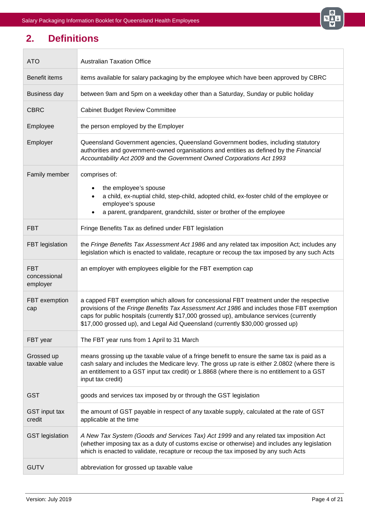

# <span id="page-3-0"></span>**2. Definitions**

 $\overline{\phantom{0}}$ 

 $\overline{\phantom{a}}$ 

| <b>ATO</b>                             | <b>Australian Taxation Office</b>                                                                                                                                                                                                                                                                                                                                   |  |  |  |
|----------------------------------------|---------------------------------------------------------------------------------------------------------------------------------------------------------------------------------------------------------------------------------------------------------------------------------------------------------------------------------------------------------------------|--|--|--|
| Benefit items                          | items available for salary packaging by the employee which have been approved by CBRC                                                                                                                                                                                                                                                                               |  |  |  |
| <b>Business day</b>                    | between 9am and 5pm on a weekday other than a Saturday, Sunday or public holiday                                                                                                                                                                                                                                                                                    |  |  |  |
| <b>CBRC</b>                            | <b>Cabinet Budget Review Committee</b>                                                                                                                                                                                                                                                                                                                              |  |  |  |
| Employee                               | the person employed by the Employer                                                                                                                                                                                                                                                                                                                                 |  |  |  |
| Employer                               | Queensland Government agencies, Queensland Government bodies, including statutory<br>authorities and government-owned organisations and entities as defined by the Financial<br>Accountability Act 2009 and the Government Owned Corporations Act 1993                                                                                                              |  |  |  |
| Family member                          | comprises of:<br>the employee's spouse<br>a child, ex-nuptial child, step-child, adopted child, ex-foster child of the employee or<br>employee's spouse<br>a parent, grandparent, grandchild, sister or brother of the employee                                                                                                                                     |  |  |  |
| <b>FBT</b>                             | Fringe Benefits Tax as defined under FBT legislation                                                                                                                                                                                                                                                                                                                |  |  |  |
| FBT legislation                        | the Fringe Benefits Tax Assessment Act 1986 and any related tax imposition Act; includes any<br>legislation which is enacted to validate, recapture or recoup the tax imposed by any such Acts                                                                                                                                                                      |  |  |  |
| <b>FBT</b><br>concessional<br>employer | an employer with employees eligible for the FBT exemption cap                                                                                                                                                                                                                                                                                                       |  |  |  |
| FBT exemption<br>cap                   | a capped FBT exemption which allows for concessional FBT treatment under the respective<br>provisions of the Fringe Benefits Tax Assessment Act 1986 and includes those FBT exemption<br>caps for public hospitals (currently \$17,000 grossed up), ambulance services (currently<br>\$17,000 grossed up), and Legal Aid Queensland (currently \$30,000 grossed up) |  |  |  |
| FBT year                               | The FBT year runs from 1 April to 31 March                                                                                                                                                                                                                                                                                                                          |  |  |  |
| Grossed up<br>taxable value            | means grossing up the taxable value of a fringe benefit to ensure the same tax is paid as a<br>cash salary and includes the Medicare levy. The gross up rate is either 2.0802 (where there is<br>an entitlement to a GST input tax credit) or 1.8868 (where there is no entitlement to a GST<br>input tax credit)                                                   |  |  |  |
| <b>GST</b>                             | goods and services tax imposed by or through the GST legislation                                                                                                                                                                                                                                                                                                    |  |  |  |
| <b>GST</b> input tax<br>credit         | the amount of GST payable in respect of any taxable supply, calculated at the rate of GST<br>applicable at the time                                                                                                                                                                                                                                                 |  |  |  |
| <b>GST</b> legislation                 | A New Tax System (Goods and Services Tax) Act 1999 and any related tax imposition Act<br>(whether imposing tax as a duty of customs excise or otherwise) and includes any legislation<br>which is enacted to validate, recapture or recoup the tax imposed by any such Acts                                                                                         |  |  |  |
| <b>GUTV</b>                            | abbreviation for grossed up taxable value                                                                                                                                                                                                                                                                                                                           |  |  |  |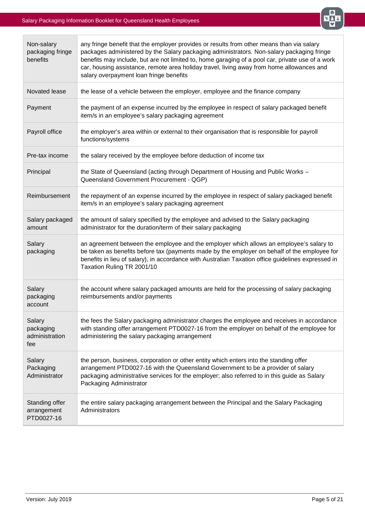

| Non-salary<br>packaging fringe<br>benefits   | any fringe benefit that the employer provides or results from other means than via salary<br>packages administered by the Salary packaging administrators. Non-salary packaging fringe<br>benefits may include, but are not limited to, home garaging of a pool car, private use of a work<br>car, housing assistance, remote area holiday travel, living away from home allowances and<br>salary overpayment loan fringe benefits |  |  |  |
|----------------------------------------------|------------------------------------------------------------------------------------------------------------------------------------------------------------------------------------------------------------------------------------------------------------------------------------------------------------------------------------------------------------------------------------------------------------------------------------|--|--|--|
| Novated lease                                | the lease of a vehicle between the employer, employee and the finance company                                                                                                                                                                                                                                                                                                                                                      |  |  |  |
| Payment                                      | the payment of an expense incurred by the employee in respect of salary packaged benefit<br>item/s in an employee's salary packaging agreement                                                                                                                                                                                                                                                                                     |  |  |  |
| Payroll office                               | the employer's area within or external to their organisation that is responsible for payroll<br>functions/systems                                                                                                                                                                                                                                                                                                                  |  |  |  |
| Pre-tax income                               | the salary received by the employee before deduction of income tax                                                                                                                                                                                                                                                                                                                                                                 |  |  |  |
| Principal                                    | the State of Queensland (acting through Department of Housing and Public Works -<br>Queensland Government Procurement - QGP)                                                                                                                                                                                                                                                                                                       |  |  |  |
| Reimbursement                                | the repayment of an expense incurred by the employee in respect of salary packaged benefit<br>item/s in an employee's salary packaging agreement                                                                                                                                                                                                                                                                                   |  |  |  |
| Salary packaged<br>amount                    | the amount of salary specified by the employee and advised to the Salary packaging<br>administrator for the duration/term of their salary packaging                                                                                                                                                                                                                                                                                |  |  |  |
| Salary<br>packaging                          | an agreement between the employee and the employer which allows an employee's salary to<br>be taken as benefits before tax (payments made by the employer on behalf of the employee for<br>benefits in lieu of salary), in accordance with Australian Taxation office guidelines expressed in<br>Taxation Ruling TR 2001/10                                                                                                        |  |  |  |
| Salary<br>packaging<br>account               | the account where salary packaged amounts are held for the processing of salary packaging<br>reimbursements and/or payments                                                                                                                                                                                                                                                                                                        |  |  |  |
| Salary<br>packaging<br>administration<br>fee | the fees the Salary packaging administrator charges the employee and receives in accordance<br>with standing offer arrangement PTD0027-16 from the employer on behalf of the employee for<br>administering the salary packaging arrangement                                                                                                                                                                                        |  |  |  |
| Salary<br>Packaging<br>Administrator         | the person, business, corporation or other entity which enters into the standing offer<br>arrangement PTD0027-16 with the Queensland Government to be a provider of salary<br>packaging administrative services for the employer; also referred to in this guide as Salary<br>Packaging Administrator                                                                                                                              |  |  |  |
| Standing offer<br>arrangement<br>PTD0027-16  | the entire salary packaging arrangement between the Principal and the Salary Packaging<br>Administrators                                                                                                                                                                                                                                                                                                                           |  |  |  |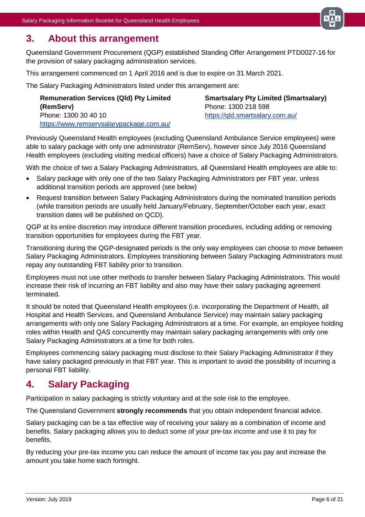

### <span id="page-5-0"></span>**3. About this arrangement**

Queensland Government Procurement (QGP) established Standing Offer Arrangement PTD0027-16 for the provision of salary packaging administration services.

This arrangement commenced on 1 April 2016 and is due to expire on 31 March 2021.

The Salary Packaging Administrators listed under this arrangement are:

**Remuneration Services (Qld) Pty Limited (RemServ)** Phone: 1300 30 40 10 <https://www.remservsalarypackage.com.au/>

**Smartsalary Pty Limited (Smartsalary)** Phone: 1300 218 598 <https://qld.smartsalary.com.au/>

Previously Queensland Health employees (excluding Queensland Ambulance Service employees) were able to salary package with only one administrator (RemServ), however since July 2016 Queensland Health employees (excluding visiting medical officers) have a choice of Salary Packaging Administrators.

With the choice of two a Salary Packaging Administrators, all Queensland Health employees are able to:

- Salary package with only one of the two Salary Packaging Administrators per FBT year, unless additional transition periods are approved (see below)
- Request transition between Salary Packaging Administrators during the nominated transition periods (while transition periods are usually held January/February, September/October each year, exact transition dates will be published on QCD).

QGP at its entire discretion may introduce different transition procedures, including adding or removing transition opportunities for employees during the FBT year.

Transitioning during the QGP-designated periods is the only way employees can choose to move between Salary Packaging Administrators. Employees transitioning between Salary Packaging Administrators must repay any outstanding FBT liability prior to transition.

Employees must not use other methods to transfer between Salary Packaging Administrators. This would increase their risk of incurring an FBT liability and also may have their salary packaging agreement terminated.

It should be noted that Queensland Health employees (i.e. incorporating the Department of Health, all Hospital and Health Services, and Queensland Ambulance Service) may maintain salary packaging arrangements with only one Salary Packaging Administrators at a time. For example, an employee holding roles within Health and QAS concurrently may maintain salary packaging arrangements with only one Salary Packaging Administrators at a time for both roles.

Employees commencing salary packaging must disclose to their Salary Packaging Administrator if they have salary packaged previously in that FBT year. This is important to avoid the possibility of incurring a personal FBT liability.

# <span id="page-5-1"></span>**4. Salary Packaging**

Participation in salary packaging is strictly voluntary and at the sole risk to the employee.

The Queensland Government **strongly recommends** that you obtain independent financial advice.

Salary packaging can be a tax effective way of receiving your salary as a combination of income and benefits. Salary packaging allows you to deduct some of your pre-tax income and use it to pay for benefits.

By reducing your pre-tax income you can reduce the amount of income tax you pay and increase the amount you take home each fortnight.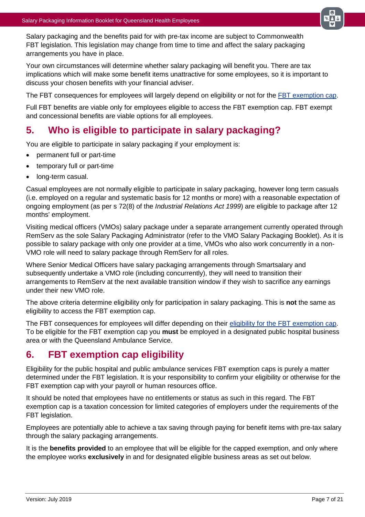

Salary packaging and the benefits paid for with pre-tax income are subject to Commonwealth FBT legislation. This legislation may change from time to time and affect the salary packaging arrangements you have in place.

Your own circumstances will determine whether salary packaging will benefit you. There are tax implications which will make some benefit items unattractive for some employees, so it is important to discuss your chosen benefits with your financial adviser.

The FBT consequences for employees will largely depend on eligibility or not for the [FBT exemption cap.](#page-6-1)

Full FBT benefits are viable only for employees eligible to access the FBT exemption cap. FBT exempt and concessional benefits are viable options for all employees.

# <span id="page-6-0"></span>**5. Who is eligible to participate in salary packaging?**

You are eligible to participate in salary packaging if your employment is:

- permanent full or part-time
- temporary full or part-time
- long-term casual.

Casual employees are not normally eligible to participate in salary packaging, however long term casuals (i.e. employed on a regular and systematic basis for 12 months or more) with a reasonable expectation of ongoing employment (as per s 72(8) of the *Industrial Relations Act 1999*) are eligible to package after 12 months' employment.

Visiting medical officers (VMOs) salary package under a separate arrangement currently operated through RemServ as the sole Salary Packaging Administrator (refer to the VMO Salary Packaging Booklet). As it is possible to salary package with only one provider at a time, VMOs who also work concurrently in a non-VMO role will need to salary package through RemServ for all roles.

Where Senior Medical Officers have salary packaging arrangements through Smartsalary and subsequently undertake a VMO role (including concurrently), they will need to transition their arrangements to RemServ at the next available transition window if they wish to sacrifice any earnings under their new VMO role.

The above criteria determine eligibility only for participation in salary packaging. This is **not** the same as eligibility to access the FBT exemption cap.

The FBT consequences for employees will differ depending on their [eligibility for the FBT exemption cap.](#page-6-1) To be eligible for the FBT exemption cap you **must** be employed in a designated public hospital business area or with the Queensland Ambulance Service.

# <span id="page-6-1"></span>**6. FBT exemption cap eligibility**

Eligibility for the public hospital and public ambulance services FBT exemption caps is purely a matter determined under the FBT legislation. It is your responsibility to confirm your eligibility or otherwise for the FBT exemption cap with your payroll or human resources office.

It should be noted that employees have no entitlements or status as such in this regard. The FBT exemption cap is a taxation concession for limited categories of employers under the requirements of the FBT legislation.

Employees are potentially able to achieve a tax saving through paying for benefit items with pre-tax salary through the salary packaging arrangements.

It is the **benefits provided** to an employee that will be eligible for the capped exemption, and only where the employee works **exclusively** in and for designated eligible business areas as set out below.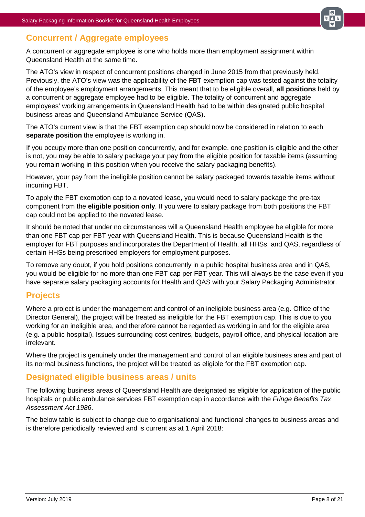

### <span id="page-7-0"></span>**Concurrent / Aggregate employees**

A concurrent or aggregate employee is one who holds more than employment assignment within Queensland Health at the same time.

The ATO's view in respect of concurrent positions changed in June 2015 from that previously held. Previously, the ATO's view was the applicability of the FBT exemption cap was tested against the totality of the employee's employment arrangements. This meant that to be eligible overall, **all positions** held by a concurrent or aggregate employee had to be eligible. The totality of concurrent and aggregate employees' working arrangements in Queensland Health had to be within designated public hospital business areas and Queensland Ambulance Service (QAS).

The ATO's current view is that the FBT exemption cap should now be considered in relation to each **separate position** the employee is working in.

If you occupy more than one position concurrently, and for example, one position is eligible and the other is not, you may be able to salary package your pay from the eligible position for taxable items (assuming you remain working in this position when you receive the salary packaging benefits).

However, your pay from the ineligible position cannot be salary packaged towards taxable items without incurring FBT.

To apply the FBT exemption cap to a novated lease, you would need to salary package the pre-tax component from the **eligible position only**. If you were to salary package from both positions the FBT cap could not be applied to the novated lease.

It should be noted that under no circumstances will a Queensland Health employee be eligible for more than one FBT cap per FBT year with Queensland Health. This is because Queensland Health is the employer for FBT purposes and incorporates the Department of Health, all HHSs, and QAS, regardless of certain HHSs being prescribed employers for employment purposes.

To remove any doubt, if you hold positions concurrently in a public hospital business area and in QAS, you would be eligible for no more than one FBT cap per FBT year. This will always be the case even if you have separate salary packaging accounts for Health and QAS with your Salary Packaging Administrator.

### <span id="page-7-1"></span>**Projects**

Where a project is under the management and control of an ineligible business area (e.g. Office of the Director General), the project will be treated as ineligible for the FBT exemption cap. This is due to you working for an ineligible area, and therefore cannot be regarded as working in and for the eligible area (e.g. a public hospital). Issues surrounding cost centres, budgets, payroll office, and physical location are irrelevant.

Where the project is genuinely under the management and control of an eligible business area and part of its normal business functions, the project will be treated as eligible for the FBT exemption cap.

### <span id="page-7-2"></span>**Designated eligible business areas / units**

The following business areas of Queensland Health are designated as eligible for application of the public hospitals or public ambulance services FBT exemption cap in accordance with the *Fringe Benefits Tax Assessment Act 1986*.

The below table is subject to change due to organisational and functional changes to business areas and is therefore periodically reviewed and is current as at 1 April 2018: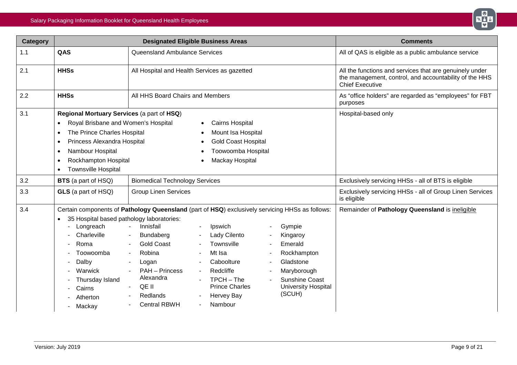

| <b>Category</b> | <b>Designated Eligible Business Areas</b>                                                                                                                                                                                                                                                                                                                                                                         |                                                                                                                                                                                                                                                                                                                                                                                                                                                                                                                          |                                                                                                                                    | <b>Comments</b>                                                                                                                             |
|-----------------|-------------------------------------------------------------------------------------------------------------------------------------------------------------------------------------------------------------------------------------------------------------------------------------------------------------------------------------------------------------------------------------------------------------------|--------------------------------------------------------------------------------------------------------------------------------------------------------------------------------------------------------------------------------------------------------------------------------------------------------------------------------------------------------------------------------------------------------------------------------------------------------------------------------------------------------------------------|------------------------------------------------------------------------------------------------------------------------------------|---------------------------------------------------------------------------------------------------------------------------------------------|
| 1.1             | QAS                                                                                                                                                                                                                                                                                                                                                                                                               | Queensland Ambulance Services                                                                                                                                                                                                                                                                                                                                                                                                                                                                                            |                                                                                                                                    | All of QAS is eligible as a public ambulance service                                                                                        |
| 2.1             | <b>HHSs</b>                                                                                                                                                                                                                                                                                                                                                                                                       | All Hospital and Health Services as gazetted                                                                                                                                                                                                                                                                                                                                                                                                                                                                             |                                                                                                                                    | All the functions and services that are genuinely under<br>the management, control, and accountability of the HHS<br><b>Chief Executive</b> |
| 2.2             | <b>HHSs</b>                                                                                                                                                                                                                                                                                                                                                                                                       | All HHS Board Chairs and Members                                                                                                                                                                                                                                                                                                                                                                                                                                                                                         |                                                                                                                                    | As "office holders" are regarded as "employees" for FBT<br>purposes                                                                         |
| 3.1             | Regional Mortuary Services (a part of HSQ)<br>Royal Brisbane and Women's Hospital<br><b>Cairns Hospital</b><br>$\bullet$<br>The Prince Charles Hospital<br>Mount Isa Hospital<br>$\bullet$<br>Princess Alexandra Hospital<br><b>Gold Coast Hospital</b><br>$\bullet$<br>Nambour Hospital<br>Toowoomba Hospital<br>$\bullet$<br>Rockhampton Hospital<br>Mackay Hospital<br>$\bullet$<br><b>Townsville Hospital</b> |                                                                                                                                                                                                                                                                                                                                                                                                                                                                                                                          |                                                                                                                                    | Hospital-based only                                                                                                                         |
| 3.2             | <b>BTS</b> (a part of HSQ)                                                                                                                                                                                                                                                                                                                                                                                        | <b>Biomedical Technology Services</b>                                                                                                                                                                                                                                                                                                                                                                                                                                                                                    |                                                                                                                                    | Exclusively servicing HHSs - all of BTS is eligible                                                                                         |
| 3.3             | GLS (a part of HSQ)                                                                                                                                                                                                                                                                                                                                                                                               | <b>Group Linen Services</b>                                                                                                                                                                                                                                                                                                                                                                                                                                                                                              |                                                                                                                                    | Exclusively servicing HHSs - all of Group Linen Services<br>is eligible                                                                     |
| 3.4             | 35 Hospital based pathology laboratories:<br>Longreach<br>Charleville<br>Roma<br>Toowoomba<br>Dalby<br>Warwick<br>Thursday Island<br>Cairns<br>Atherton<br>- Mackay                                                                                                                                                                                                                                               | Certain components of Pathology Queensland (part of HSQ) exclusively servicing HHSs as follows:<br>Innisfail<br>Ipswich<br>$\sim$<br>$\blacksquare$<br>Lady Cilento<br>Bundaberg<br>$\blacksquare$<br><b>Gold Coast</b><br>Townsville<br>$\sim$<br>Mt Isa<br>Robina<br>$\blacksquare$<br>Caboolture<br>Logan<br>$\overline{\phantom{a}}$<br><b>PAH - Princess</b><br>Redcliffe<br>$\sim$<br>Alexandra<br>TPCH - The<br><b>Prince Charles</b><br>QE II<br>Redlands<br><b>Hervey Bay</b><br><b>Central RBWH</b><br>Nambour | Gympie<br>Kingaroy<br>Emerald<br>Rockhampton<br>Gladstone<br>Maryborough<br><b>Sunshine Coast</b><br>University Hospital<br>(SCUH) | Remainder of Pathology Queensland is ineligible                                                                                             |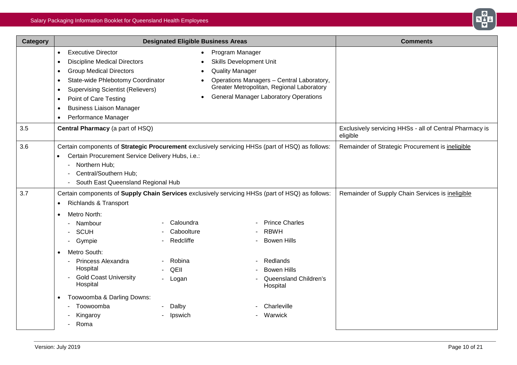

| <b>Category</b> | <b>Designated Eligible Business Areas</b>                                                                                                                                                                                                                                                                                                                                                                                                                                                                                                                                                                                                                                                                           |                                                                                                                                                                                                                                                                                                                                  |                                                  | <b>Comments</b>                                                     |
|-----------------|---------------------------------------------------------------------------------------------------------------------------------------------------------------------------------------------------------------------------------------------------------------------------------------------------------------------------------------------------------------------------------------------------------------------------------------------------------------------------------------------------------------------------------------------------------------------------------------------------------------------------------------------------------------------------------------------------------------------|----------------------------------------------------------------------------------------------------------------------------------------------------------------------------------------------------------------------------------------------------------------------------------------------------------------------------------|--------------------------------------------------|---------------------------------------------------------------------|
|                 | <b>Executive Director</b><br>$\bullet$<br><b>Discipline Medical Directors</b><br>$\bullet$<br><b>Group Medical Directors</b><br>$\bullet$<br>$\bullet$<br>Point of Care Testing<br>$\bullet$<br><b>Business Liaison Manager</b><br>$\bullet$<br>Performance Manager<br>$\bullet$                                                                                                                                                                                                                                                                                                                                                                                                                                    | Program Manager<br>$\bullet$<br><b>Skills Development Unit</b><br><b>Quality Manager</b><br>$\bullet$<br>Operations Managers - Central Laboratory,<br>State-wide Phlebotomy Coordinator<br>Greater Metropolitan, Regional Laboratory<br><b>Supervising Scientist (Relievers)</b><br><b>General Manager Laboratory Operations</b> |                                                  |                                                                     |
| 3.5             | Central Pharmacy (a part of HSQ)                                                                                                                                                                                                                                                                                                                                                                                                                                                                                                                                                                                                                                                                                    |                                                                                                                                                                                                                                                                                                                                  |                                                  | Exclusively servicing HHSs - all of Central Pharmacy is<br>eligible |
| 3.6             | Certain components of Strategic Procurement exclusively servicing HHSs (part of HSQ) as follows:<br>Certain Procurement Service Delivery Hubs, i.e.:<br>- Northern Hub;<br>Central/Southern Hub;<br>$\overline{\phantom{0}}$<br>South East Queensland Regional Hub                                                                                                                                                                                                                                                                                                                                                                                                                                                  |                                                                                                                                                                                                                                                                                                                                  |                                                  | Remainder of Strategic Procurement is ineligible                    |
| 3.7             | Certain components of Supply Chain Services exclusively servicing HHSs (part of HSQ) as follows:<br><b>Richlands &amp; Transport</b><br>$\bullet$<br>Metro North:<br>O<br><b>Prince Charles</b><br>Caloundra<br>- Nambour<br><b>RBWH</b><br>Caboolture<br><b>SCUH</b><br>$\blacksquare$<br>Redcliffe<br><b>Bowen Hills</b><br>Gympie<br>$\sim$<br>Metro South:<br>Robina<br>Redlands<br>Princess Alexandra<br>$\blacksquare$<br>Hospital<br>QEII<br><b>Bowen Hills</b><br><b>Gold Coast University</b><br>۰<br>Queensland Children's<br>- Logan<br>Hospital<br>Hospital<br>Toowoomba & Darling Downs:<br>$\bullet$<br>Toowoomba<br>Dalby<br>Charleville<br>Warwick<br>Kingaroy<br>Ipswich<br>Roma<br>$\blacksquare$ |                                                                                                                                                                                                                                                                                                                                  | Remainder of Supply Chain Services is ineligible |                                                                     |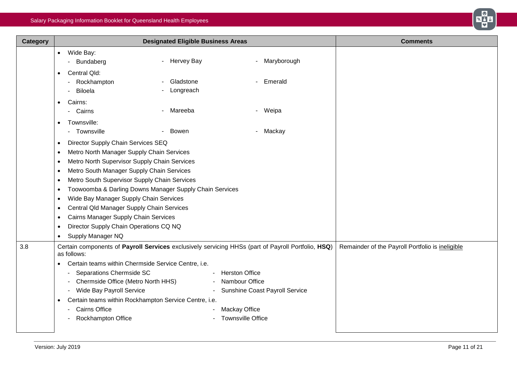

| <b>Category</b> | <b>Designated Eligible Business Areas</b>                                                                                                                                                                                                                                                                                                                                                                                                                                                                                                                                                                       | <b>Comments</b>                                  |
|-----------------|-----------------------------------------------------------------------------------------------------------------------------------------------------------------------------------------------------------------------------------------------------------------------------------------------------------------------------------------------------------------------------------------------------------------------------------------------------------------------------------------------------------------------------------------------------------------------------------------------------------------|--------------------------------------------------|
|                 | Wide Bay:<br>$\bullet$<br>- Hervey Bay<br>- Maryborough<br>Bundaberg<br>$\blacksquare$<br>Central Qld:<br>$\bullet$<br>Gladstone<br>- Emerald<br>Rockhampton<br>$\sim$<br>Biloela<br>Longreach<br>$\blacksquare$                                                                                                                                                                                                                                                                                                                                                                                                |                                                  |
|                 | Cairns:<br>$\bullet$<br>Weipa<br>Cairns<br>- Mareeba<br>$\blacksquare$<br>$\sim$                                                                                                                                                                                                                                                                                                                                                                                                                                                                                                                                |                                                  |
|                 | Townsville:<br>Townsville<br>Bowen<br>Mackay<br>$\blacksquare$                                                                                                                                                                                                                                                                                                                                                                                                                                                                                                                                                  |                                                  |
|                 | Director Supply Chain Services SEQ<br>$\bullet$<br>Metro North Manager Supply Chain Services<br>$\bullet$<br>Metro North Supervisor Supply Chain Services<br>$\bullet$<br>Metro South Manager Supply Chain Services<br>$\bullet$<br>Metro South Supervisor Supply Chain Services<br>$\bullet$<br>Toowoomba & Darling Downs Manager Supply Chain Services<br>$\bullet$<br>Wide Bay Manager Supply Chain Services<br>$\bullet$<br>Central Qld Manager Supply Chain Services<br>$\bullet$<br>Cairns Manager Supply Chain Services<br>٠<br>Director Supply Chain Operations CQ NQ<br>$\bullet$<br>Supply Manager NQ |                                                  |
| 3.8             | Certain components of Payroll Services exclusively servicing HHSs (part of Payroll Portfolio, HSQ)<br>as follows:<br>Certain teams within Chermside Service Centre, i.e.<br>Separations Chermside SC<br>- Herston Office<br>$\blacksquare$<br>- Chermside Office (Metro North HHS)<br><b>Nambour Office</b><br>- Wide Bay Payroll Service<br>- Sunshine Coast Payroll Service<br>Certain teams within Rockhampton Service Centre, i.e.<br><b>Cairns Office</b><br>Mackay Office<br><b>Townsville Office</b><br><b>Rockhampton Office</b>                                                                        | Remainder of the Payroll Portfolio is ineligible |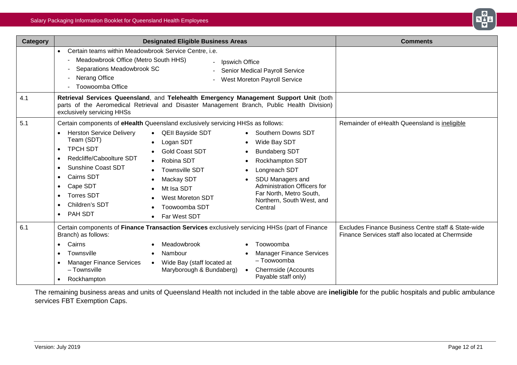

|                                                                                                                                                                                                                                                                                                                                                                                                                                                                                                         | <b>Comments</b>                                                                                                                                                                                                                   |                                                                                                                                                                                                                                                                                                                                                                                                                                                                                                                                                                                                     |
|---------------------------------------------------------------------------------------------------------------------------------------------------------------------------------------------------------------------------------------------------------------------------------------------------------------------------------------------------------------------------------------------------------------------------------------------------------------------------------------------------------|-----------------------------------------------------------------------------------------------------------------------------------------------------------------------------------------------------------------------------------|-----------------------------------------------------------------------------------------------------------------------------------------------------------------------------------------------------------------------------------------------------------------------------------------------------------------------------------------------------------------------------------------------------------------------------------------------------------------------------------------------------------------------------------------------------------------------------------------------------|
| Certain teams within Meadowbrook Service Centre, i.e.<br>$\bullet$<br>Meadowbrook Office (Metro South HHS)<br>Separations Meadowbrook SC<br>Nerang Office<br>Toowoomba Office                                                                                                                                                                                                                                                                                                                           |                                                                                                                                                                                                                                   |                                                                                                                                                                                                                                                                                                                                                                                                                                                                                                                                                                                                     |
| exclusively servicing HHSs                                                                                                                                                                                                                                                                                                                                                                                                                                                                              |                                                                                                                                                                                                                                   |                                                                                                                                                                                                                                                                                                                                                                                                                                                                                                                                                                                                     |
| <b>Herston Service Delivery</b><br><b>QEII Bayside SDT</b><br>Team (SDT)<br>Logan SDT<br><b>TPCH SDT</b><br>$\bullet$<br><b>Gold Coast SDT</b><br>Redcliffe/Caboolture SDT<br>$\bullet$<br>Robina SDT<br>$\bullet$<br><b>Sunshine Coast SDT</b><br>$\bullet$<br><b>Townsville SDT</b><br><b>Cairns SDT</b><br>$\bullet$<br>Mackay SDT<br>Cape SDT<br>$\bullet$<br>Mt Isa SDT<br><b>Torres SDT</b><br><b>West Moreton SDT</b><br>Children's SDT<br>Toowoomba SDT<br>PAH SDT<br>$\bullet$<br>Far West SDT | Southern Downs SDT<br>Wide Bay SDT<br><b>Bundaberg SDT</b><br>$\bullet$<br>Rockhampton SDT<br>Longreach SDT<br>SDU Managers and<br>Administration Officers for<br>Far North, Metro South,<br>Northern, South West, and<br>Central | Remainder of eHealth Queensland is ineligible                                                                                                                                                                                                                                                                                                                                                                                                                                                                                                                                                       |
| Branch) as follows:<br>Meadowbrook<br>Cairns<br>Townsville<br>Nambour<br>$\bullet$<br><b>Manager Finance Services</b><br>$\bullet$<br>- Townsville                                                                                                                                                                                                                                                                                                                                                      | Toowoomba<br><b>Manager Finance Services</b><br>- Toowoomba<br><b>Chermside (Accounts</b>                                                                                                                                         | Excludes Finance Business Centre staff & State-wide<br>Finance Services staff also located at Chermside                                                                                                                                                                                                                                                                                                                                                                                                                                                                                             |
|                                                                                                                                                                                                                                                                                                                                                                                                                                                                                                         | Rockhampton<br>$\bullet$                                                                                                                                                                                                          | <b>Designated Eligible Business Areas</b><br>- Ipswich Office<br>Senior Medical Payroll Service<br><b>West Moreton Payroll Service</b><br>Retrieval Services Queensland, and Telehealth Emergency Management Support Unit (both<br>parts of the Aeromedical Retrieval and Disaster Management Branch, Public Health Division)<br>Certain components of eHealth Queensland exclusively servicing HHSs as follows:<br>Certain components of Finance Transaction Services exclusively servicing HHSs (part of Finance<br>Wide Bay (staff located at<br>Maryborough & Bundaberg)<br>Payable staff only) |

The remaining business areas and units of Queensland Health not included in the table above are **ineligible** for the public hospitals and public ambulance services FBT Exemption Caps.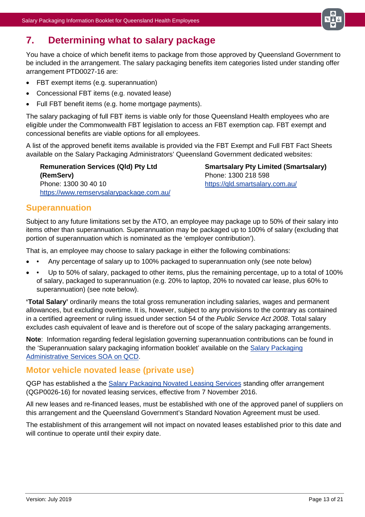

# <span id="page-12-0"></span>**7. Determining what to salary package**

You have a choice of which benefit items to package from those approved by Queensland Government to be included in the arrangement. The salary packaging benefits item categories listed under standing offer arrangement PTD0027-16 are:

- FBT exempt items (e.g. superannuation)
- Concessional FBT items (e.g. novated lease)
- Full FBT benefit items (e.g. home mortgage payments).

The salary packaging of full FBT items is viable only for those Queensland Health employees who are eligible under the Commonwealth FBT legislation to access an FBT exemption cap. FBT exempt and concessional benefits are viable options for all employees.

A list of the approved benefit items available is provided via the FBT Exempt and Full FBT Fact Sheets available on the Salary Packaging Administrators' Queensland Government dedicated websites:

**Remuneration Services (Qld) Pty Ltd (RemServ)** Phone: 1300 30 40 10 <https://www.remservsalarypackage.com.au/> **Smartsalary Pty Limited (Smartsalary)** Phone: 1300 218 598 <https://qld.smartsalary.com.au/>

### <span id="page-12-1"></span>**Superannuation**

Subject to any future limitations set by the ATO, an employee may package up to 50% of their salary into items other than superannuation. Superannuation may be packaged up to 100% of salary (excluding that portion of superannuation which is nominated as the 'employer contribution').

That is, an employee may choose to salary package in either the following combinations:

- Any percentage of salary up to 100% packaged to superannuation only (see note below)
- • Up to 50% of salary, packaged to other items, plus the remaining percentage, up to a total of 100% of salary, packaged to superannuation (e.g. 20% to laptop, 20% to novated car lease, plus 60% to superannuation) (see note below).

**'Total Salary'** ordinarily means the total gross remuneration including salaries, wages and permanent allowances, but excluding overtime. It is, however, subject to any provisions to the contrary as contained in a certified agreement or ruling issued under section 54 of the *Public Service Act 2008*. Total salary excludes cash equivalent of leave and is therefore out of scope of the salary packaging arrangements.

**Note**: Information regarding federal legislation governing superannuation contributions can be found in the 'Superannuation salary packaging information booklet' available on the [Salary Packaging](http://qcd.govnet.qld.gov.au/Pages/Details.aspx?RecID=1696)  [Administrative Services](http://qcd.govnet.qld.gov.au/Pages/Details.aspx?RecID=1696) SOA on QCD.

### <span id="page-12-2"></span>**Motor vehicle novated lease (private use)**

QGP has established a the [Salary Packaging Novated Leasing Services](http://qcd.govnet.qld.gov.au/Pages/Details.aspx?RecID=1753) standing offer arrangement (QGP0026-16) for novated leasing services, effective from 7 November 2016.

All new leases and re-financed leases, must be established with one of the approved panel of suppliers on this arrangement and the Queensland Government's Standard Novation Agreement must be used.

The establishment of this arrangement will not impact on novated leases established prior to this date and will continue to operate until their expiry date.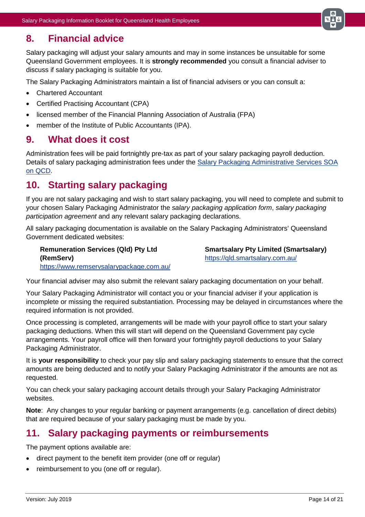

# <span id="page-13-0"></span>**8. Financial advice**

Salary packaging will adjust your salary amounts and may in some instances be unsuitable for some Queensland Government employees. It is **strongly recommended** you consult a financial adviser to discuss if salary packaging is suitable for you.

The Salary Packaging Administrators maintain a list of financial advisers or you can consult a:

- Chartered Accountant
- Certified Practising Accountant (CPA)
- licensed member of the Financial Planning Association of Australia (FPA)
- member of the Institute of Public Accountants (IPA).

### <span id="page-13-1"></span>**9. What does it cost**

Administration fees will be paid fortnightly pre-tax as part of your salary packaging payroll deduction. Details of salary packaging administration fees under the [Salary Packaging Administrative Services](http://qcd.govnet.qld.gov.au/Pages/Details.aspx?RecID=1696) SOA [on QCD.](http://qcd.govnet.qld.gov.au/Pages/Details.aspx?RecID=1696)

# <span id="page-13-2"></span>**10. Starting salary packaging**

If you are not salary packaging and wish to start salary packaging, you will need to complete and submit to your chosen Salary Packaging Administrator the *salary packaging application form*, *salary packaging participation agreement* and any relevant salary packaging declarations.

All salary packaging documentation is available on the Salary Packaging Administrators' Queensland Government dedicated websites:

**Remuneration Services (Qld) Pty Ltd (RemServ)** <https://www.remservsalarypackage.com.au/> **Smartsalary Pty Limited (Smartsalary)** <https://qld.smartsalary.com.au/>

Your financial adviser may also submit the relevant salary packaging documentation on your behalf.

Your Salary Packaging Administrator will contact you or your financial adviser if your application is incomplete or missing the required substantiation. Processing may be delayed in circumstances where the required information is not provided.

Once processing is completed, arrangements will be made with your payroll office to start your salary packaging deductions. When this will start will depend on the Queensland Government pay cycle arrangements. Your payroll office will then forward your fortnightly payroll deductions to your Salary Packaging Administrator.

It is **your responsibility** to check your pay slip and salary packaging statements to ensure that the correct amounts are being deducted and to notify your Salary Packaging Administrator if the amounts are not as requested.

You can check your salary packaging account details through your Salary Packaging Administrator websites.

**Note**: Any changes to your regular banking or payment arrangements (e.g. cancellation of direct debits) that are required because of your salary packaging must be made by you.

### <span id="page-13-3"></span>**11. Salary packaging payments or reimbursements**

The payment options available are:

- direct payment to the benefit item provider (one off or regular)
- reimbursement to you (one off or regular).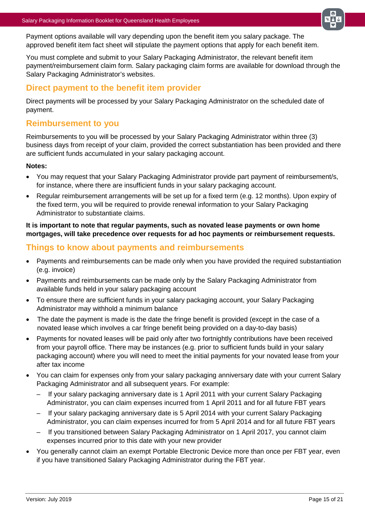

Payment options available will vary depending upon the benefit item you salary package. The approved benefit item fact sheet will stipulate the payment options that apply for each benefit item.

You must complete and submit to your Salary Packaging Administrator, the relevant benefit item payment/reimbursement claim form. Salary packaging claim forms are available for download through the Salary Packaging Administrator's websites.

### <span id="page-14-0"></span>**Direct payment to the benefit item provider**

Direct payments will be processed by your Salary Packaging Administrator on the scheduled date of payment.

### <span id="page-14-1"></span>**Reimbursement to you**

Reimbursements to you will be processed by your Salary Packaging Administrator within three (3) business days from receipt of your claim, provided the correct substantiation has been provided and there are sufficient funds accumulated in your salary packaging account.

#### **Notes:**

- You may request that your Salary Packaging Administrator provide part payment of reimbursement/s, for instance, where there are insufficient funds in your salary packaging account.
- Regular reimbursement arrangements will be set up for a fixed term (e.g. 12 months). Upon expiry of the fixed term, you will be required to provide renewal information to your Salary Packaging Administrator to substantiate claims.

#### **It is important to note that regular payments, such as novated lease payments or own home mortgages, will take precedence over requests for ad hoc payments or reimbursement requests.**

### <span id="page-14-2"></span>**Things to know about payments and reimbursements**

- Payments and reimbursements can be made only when you have provided the required substantiation (e.g. invoice)
- Payments and reimbursements can be made only by the Salary Packaging Administrator from available funds held in your salary packaging account
- To ensure there are sufficient funds in your salary packaging account, your Salary Packaging Administrator may withhold a minimum balance
- The date the payment is made is the date the fringe benefit is provided (except in the case of a novated lease which involves a car fringe benefit being provided on a day-to-day basis)
- Payments for novated leases will be paid only after two fortnightly contributions have been received from your payroll office. There may be instances (e.g. prior to sufficient funds build in your salary packaging account) where you will need to meet the initial payments for your novated lease from your after tax income
- You can claim for expenses only from your salary packaging anniversary date with your current Salary Packaging Administrator and all subsequent years. For example:
	- If your salary packaging anniversary date is 1 April 2011 with your current Salary Packaging Administrator, you can claim expenses incurred from 1 April 2011 and for all future FBT years
	- If your salary packaging anniversary date is 5 April 2014 with your current Salary Packaging Administrator, you can claim expenses incurred for from 5 April 2014 and for all future FBT years
	- If you transitioned between Salary Packaging Administrator on 1 April 2017, you cannot claim expenses incurred prior to this date with your new provider
- You generally cannot claim an exempt Portable Electronic Device more than once per FBT year, even if you have transitioned Salary Packaging Administrator during the FBT year.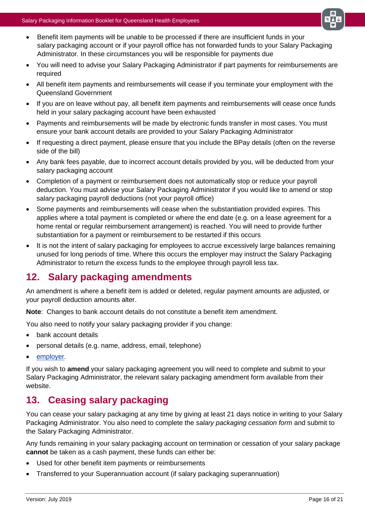

- Benefit item payments will be unable to be processed if there are insufficient funds in your salary packaging account or if your payroll office has not forwarded funds to your Salary Packaging Administrator. In these circumstances you will be responsible for payments due
- You will need to advise your Salary Packaging Administrator if part payments for reimbursements are required
- All benefit item payments and reimbursements will cease if you terminate your employment with the Queensland Government
- If you are on leave without pay, all benefit item payments and reimbursements will cease once funds held in your salary packaging account have been exhausted
- Payments and reimbursements will be made by electronic funds transfer in most cases. You must ensure your bank account details are provided to your Salary Packaging Administrator
- If requesting a direct payment, please ensure that you include the BPay details (often on the reverse side of the bill)
- Any bank fees payable, due to incorrect account details provided by you, will be deducted from your salary packaging account
- Completion of a payment or reimbursement does not automatically stop or reduce your payroll deduction. You must advise your Salary Packaging Administrator if you would like to amend or stop salary packaging payroll deductions (not your payroll office)
- Some payments and reimbursements will cease when the substantiation provided expires. This applies where a total payment is completed or where the end date (e.g. on a lease agreement for a home rental or regular reimbursement arrangement) is reached. You will need to provide further substantiation for a payment or reimbursement to be restarted if this occurs
- It is not the intent of salary packaging for employees to accrue excessively large balances remaining unused for long periods of time. Where this occurs the employer may instruct the Salary Packaging Administrator to return the excess funds to the employee through payroll less tax.

# <span id="page-15-0"></span>**12. Salary packaging amendments**

An amendment is where a benefit item is added or deleted, regular payment amounts are adjusted, or your payroll deduction amounts alter.

**Note**: Changes to bank account details do not constitute a benefit item amendment.

You also need to notify your salary packaging provider if you change:

- bank account details
- personal details (e.g. name, address, email, telephone)
- employer.

If you wish to **amend** your salary packaging agreement you will need to complete and submit to your Salary Packaging Administrator, the relevant salary packaging amendment form available from their website.

# <span id="page-15-1"></span>**13. Ceasing salary packaging**

You can cease your salary packaging at any time by giving at least 21 days notice in writing to your Salary Packaging Administrator. You also need to complete the *salary packaging cessation form* and submit to the Salary Packaging Administrator.

Any funds remaining in your salary packaging account on termination or cessation of your salary package **cannot** be taken as a cash payment, these funds can either be:

- Used for other benefit item payments or reimbursements
- Transferred to your Superannuation account (if salary packaging superannuation)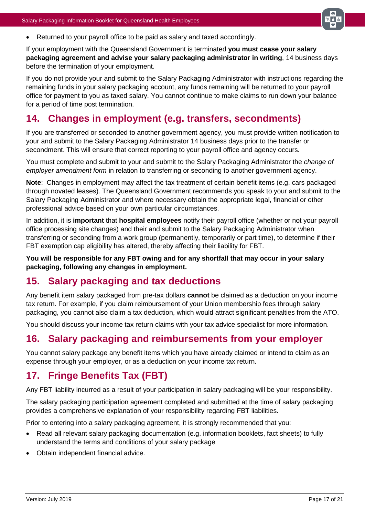

• Returned to your payroll office to be paid as salary and taxed accordingly.

If your employment with the Queensland Government is terminated **you must cease your salary packaging agreement and advise your salary packaging administrator in writing**, 14 business days before the termination of your employment.

If you do not provide your and submit to the Salary Packaging Administrator with instructions regarding the remaining funds in your salary packaging account, any funds remaining will be returned to your payroll office for payment to you as taxed salary. You cannot continue to make claims to run down your balance for a period of time post termination.

# <span id="page-16-0"></span>**14. Changes in employment (e.g. transfers, secondments)**

If you are transferred or seconded to another government agency, you must provide written notification to your and submit to the Salary Packaging Administrator 14 business days prior to the transfer or secondment. This will ensure that correct reporting to your payroll office and agency occurs.

You must complete and submit to your and submit to the Salary Packaging Administrator the *change of employer amendment form* in relation to transferring or seconding to another government agency.

**Note**: Changes in employment may affect the tax treatment of certain benefit items (e.g. cars packaged through novated leases). The Queensland Government recommends you speak to your and submit to the Salary Packaging Administrator and where necessary obtain the appropriate legal, financial or other professional advice based on your own particular circumstances.

In addition, it is **important** that **hospital employees** notify their payroll office (whether or not your payroll office processing site changes) and their and submit to the Salary Packaging Administrator when transferring or seconding from a work group (permanently, temporarily or part time), to determine if their FBT exemption cap eligibility has altered, thereby affecting their liability for FBT.

**You will be responsible for any FBT owing and for any shortfall that may occur in your salary packaging, following any changes in employment.**

# <span id="page-16-1"></span>**15. Salary packaging and tax deductions**

Any benefit item salary packaged from pre-tax dollars **cannot** be claimed as a deduction on your income tax return. For example, if you claim reimbursement of your Union membership fees through salary packaging, you cannot also claim a tax deduction, which would attract significant penalties from the ATO.

You should discuss your income tax return claims with your tax advice specialist for more information.

# <span id="page-16-2"></span>**16. Salary packaging and reimbursements from your employer**

You cannot salary package any benefit items which you have already claimed or intend to claim as an expense through your employer, or as a deduction on your income tax return.

# <span id="page-16-3"></span>**17. Fringe Benefits Tax (FBT)**

Any FBT liability incurred as a result of your participation in salary packaging will be your responsibility.

The salary packaging participation agreement completed and submitted at the time of salary packaging provides a comprehensive explanation of your responsibility regarding FBT liabilities.

Prior to entering into a salary packaging agreement, it is strongly recommended that you:

- Read all relevant salary packaging documentation (e.g. information booklets, fact sheets) to fully understand the terms and conditions of your salary package
- Obtain independent financial advice.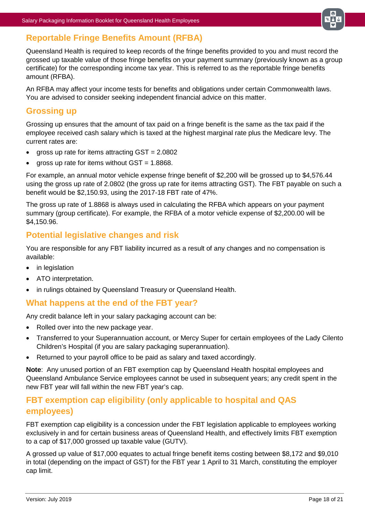

## <span id="page-17-0"></span>**Reportable Fringe Benefits Amount (RFBA)**

Queensland Health is required to keep records of the fringe benefits provided to you and must record the grossed up taxable value of those fringe benefits on your payment summary (previously known as a group certificate) for the corresponding income tax year. This is referred to as the reportable fringe benefits amount (RFBA).

An RFBA may affect your income tests for benefits and obligations under certain Commonwealth laws. You are advised to consider seeking independent financial advice on this matter.

### <span id="page-17-1"></span>**Grossing up**

Grossing up ensures that the amount of tax paid on a fringe benefit is the same as the tax paid if the employee received cash salary which is taxed at the highest marginal rate plus the Medicare levy. The current rates are:

- gross up rate for items attracting GST = 2.0802
- gross up rate for items without  $GST = 1.8868$ .

For example, an annual motor vehicle expense fringe benefit of \$2,200 will be grossed up to \$4,576.44 using the gross up rate of 2.0802 (the gross up rate for items attracting GST). The FBT payable on such a benefit would be \$2,150.93, using the 2017-18 FBT rate of 47%.

The gross up rate of 1.8868 is always used in calculating the RFBA which appears on your payment summary (group certificate). For example, the RFBA of a motor vehicle expense of \$2,200.00 will be \$4,150.96.

### <span id="page-17-2"></span>**Potential legislative changes and risk**

You are responsible for any FBT liability incurred as a result of any changes and no compensation is available:

- in legislation
- ATO interpretation.
- in rulings obtained by Queensland Treasury or Queensland Health.

### <span id="page-17-3"></span>**What happens at the end of the FBT year?**

Any credit balance left in your salary packaging account can be:

- Rolled over into the new package year.
- Transferred to your Superannuation account, or Mercy Super for certain employees of the Lady Cilento Children's Hospital (if you are salary packaging superannuation).
- Returned to your payroll office to be paid as salary and taxed accordingly.

**Note**: Any unused portion of an FBT exemption cap by Queensland Health hospital employees and Queensland Ambulance Service employees cannot be used in subsequent years; any credit spent in the new FBT year will fall within the new FBT year's cap.

### <span id="page-17-4"></span>**FBT exemption cap eligibility (only applicable to hospital and QAS employees)**

FBT exemption cap eligibility is a concession under the FBT legislation applicable to employees working exclusively in and for certain business areas of Queensland Health, and effectively limits FBT exemption to a cap of \$17,000 grossed up taxable value (GUTV).

A grossed up value of \$17,000 equates to actual fringe benefit items costing between \$8,172 and \$9,010 in total (depending on the impact of GST) for the FBT year 1 April to 31 March, constituting the employer cap limit.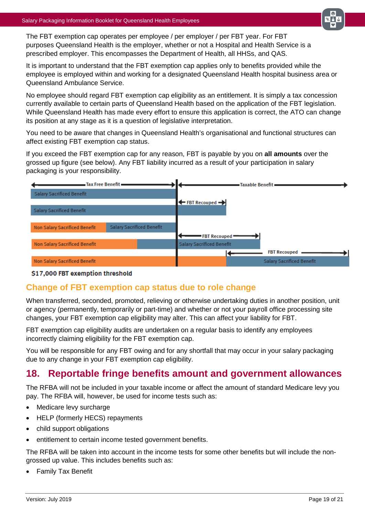

The FBT exemption cap operates per employee / per employer / per FBT year. For FBT purposes Queensland Health is the employer, whether or not a Hospital and Health Service is a prescribed employer. This encompasses the Department of Health, all HHSs, and QAS.

It is important to understand that the FBT exemption cap applies only to benefits provided while the employee is employed within and working for a designated Queensland Health hospital business area or Queensland Ambulance Service.

No employee should regard FBT exemption cap eligibility as an entitlement. It is simply a tax concession currently available to certain parts of Queensland Health based on the application of the FBT legislation. While Queensland Health has made every effort to ensure this application is correct, the ATO can change its position at any stage as it is a question of legislative interpretation.

You need to be aware that changes in Queensland Health's organisational and functional structures can affect existing FBT exemption cap status.

If you exceed the FBT exemption cap for any reason, FBT is payable by you on **all amounts** over the grossed up figure (see below). Any FBT liability incurred as a result of your participation in salary packaging is your responsibility.



#### \$17,000 FBT exemption threshold

### <span id="page-18-0"></span>**Change of FBT exemption cap status due to role change**

When transferred, seconded, promoted, relieving or otherwise undertaking duties in another position, unit or agency (permanently, temporarily or part-time) and whether or not your payroll office processing site changes, your FBT exemption cap eligibility may alter. This can affect your liability for FBT.

FBT exemption cap eligibility audits are undertaken on a regular basis to identify any employees incorrectly claiming eligibility for the FBT exemption cap.

You will be responsible for any FBT owing and for any shortfall that may occur in your salary packaging due to any change in your FBT exemption cap eligibility.

# <span id="page-18-1"></span>**18. Reportable fringe benefits amount and government allowances**

The RFBA will not be included in your taxable income or affect the amount of standard Medicare levy you pay. The RFBA will, however, be used for income tests such as:

- Medicare levy surcharge
- HELP (formerly HECS) repayments
- child support obligations
- entitlement to certain income tested government benefits.

The RFBA will be taken into account in the income tests for some other benefits but will include the nongrossed up value. This includes benefits such as:

• Family Tax Benefit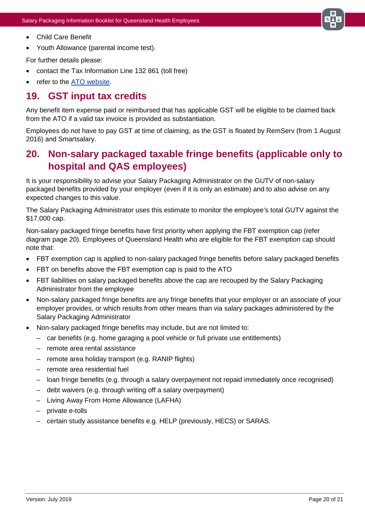

- Child Care Benefit
- Youth Allowance (parental income test).

For further details please:

- contact the Tax Information Line 132 861 (toll free)
- refer to the [ATO website.](http://www.ato.gov.au/)

# <span id="page-19-0"></span>**19. GST input tax credits**

Any benefit item expense paid or reimbursed that has applicable GST will be eligible to be claimed back from the ATO if a valid tax invoice is provided as substantiation.

Employees do not have to pay GST at time of claiming, as the GST is floated by RemServ (from 1 August 2016) and Smartsalary.

# <span id="page-19-1"></span>**20. Non-salary packaged taxable fringe benefits (applicable only to hospital and QAS employees)**

It is your responsibility to advise your Salary Packaging Administrator on the GUTV of non-salary packaged benefits provided by your employer (even if it is only an estimate) and to also advise on any expected changes to this value.

The Salary Packaging Administrator uses this estimate to monitor the employee's total GUTV against the \$17,000 cap.

Non-salary packaged fringe benefits have first priority when applying the FBT exemption cap (refer diagram page 20). Employees of Queensland Health who are eligible for the FBT exemption cap should note that:

- FBT exemption cap is applied to non-salary packaged fringe benefits before salary packaged benefits
- FBT on benefits above the FBT exemption cap is paid to the ATO
- FBT liabilities on salary packaged benefits above the cap are recouped by the Salary Packaging Administrator from the employee
- Non-salary packaged fringe benefits are any fringe benefits that your employer or an associate of your employer provides, or which results from other means than via salary packages administered by the Salary Packaging Administrator
- Non-salary packaged fringe benefits may include, but are not limited to:
	- car benefits (e.g. home garaging a pool vehicle or full private use entitlements)
	- remote area rental assistance
	- remote area holiday transport (e.g. RANIP flights)
	- remote area residential fuel
	- loan fringe benefits (e.g. through a salary overpayment not repaid immediately once recognised)
	- debt waivers (e.g. through writing off a salary overpayment)
	- Living Away From Home Allowance (LAFHA)
	- private e-tolls
	- certain study assistance benefits e.g. HELP (previously, HECS) or SARAS.